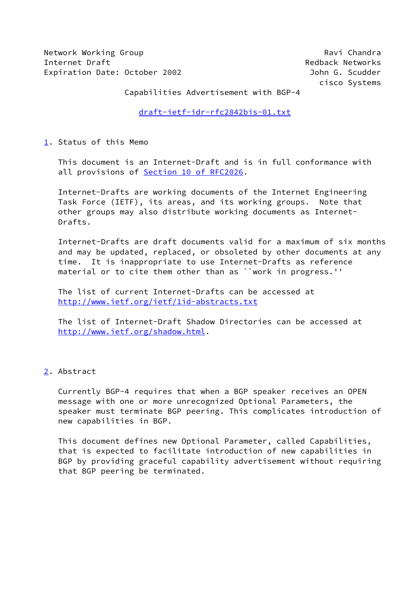Network Working Group **Ravi Chandra** Ravi Chandra Internet Draft **Redback Networks** Expiration Date: October 2002 John G. Scudder

cisco Systems

Capabilities Advertisement with BGP-4

[draft-ietf-idr-rfc2842bis-01.txt](https://datatracker.ietf.org/doc/pdf/draft-ietf-idr-rfc2842bis-01.txt)

<span id="page-0-0"></span>[1](#page-0-0). Status of this Memo

 This document is an Internet-Draft and is in full conformance with all provisions of **Section 10 of RFC2026**.

 Internet-Drafts are working documents of the Internet Engineering Task Force (IETF), its areas, and its working groups. Note that other groups may also distribute working documents as Internet- Drafts.

 Internet-Drafts are draft documents valid for a maximum of six months and may be updated, replaced, or obsoleted by other documents at any time. It is inappropriate to use Internet-Drafts as reference material or to cite them other than as ``work in progress.''

 The list of current Internet-Drafts can be accessed at <http://www.ietf.org/ietf/1id-abstracts.txt>

 The list of Internet-Draft Shadow Directories can be accessed at <http://www.ietf.org/shadow.html>.

# <span id="page-0-1"></span>[2](#page-0-1). Abstract

 Currently BGP-4 requires that when a BGP speaker receives an OPEN message with one or more unrecognized Optional Parameters, the speaker must terminate BGP peering. This complicates introduction of new capabilities in BGP.

 This document defines new Optional Parameter, called Capabilities, that is expected to facilitate introduction of new capabilities in BGP by providing graceful capability advertisement without requiring that BGP peering be terminated.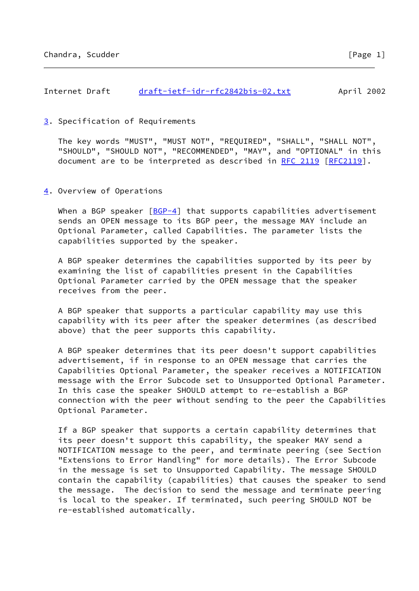## <span id="page-1-0"></span>[3](#page-1-0). Specification of Requirements

 The key words "MUST", "MUST NOT", "REQUIRED", "SHALL", "SHALL NOT", "SHOULD", "SHOULD NOT", "RECOMMENDED", "MAY", and "OPTIONAL" in this document are to be interpreted as described in [RFC 2119 \[RFC2119](https://datatracker.ietf.org/doc/pdf/rfc2119)].

### <span id="page-1-1"></span>[4](#page-1-1). Overview of Operations

When a BGP speaker  $[BGP-4]$  that supports capabilities advertisement sends an OPEN message to its BGP peer, the message MAY include an Optional Parameter, called Capabilities. The parameter lists the capabilities supported by the speaker.

 A BGP speaker determines the capabilities supported by its peer by examining the list of capabilities present in the Capabilities Optional Parameter carried by the OPEN message that the speaker receives from the peer.

 A BGP speaker that supports a particular capability may use this capability with its peer after the speaker determines (as described above) that the peer supports this capability.

 A BGP speaker determines that its peer doesn't support capabilities advertisement, if in response to an OPEN message that carries the Capabilities Optional Parameter, the speaker receives a NOTIFICATION message with the Error Subcode set to Unsupported Optional Parameter. In this case the speaker SHOULD attempt to re-establish a BGP connection with the peer without sending to the peer the Capabilities Optional Parameter.

 If a BGP speaker that supports a certain capability determines that its peer doesn't support this capability, the speaker MAY send a NOTIFICATION message to the peer, and terminate peering (see Section "Extensions to Error Handling" for more details). The Error Subcode in the message is set to Unsupported Capability. The message SHOULD contain the capability (capabilities) that causes the speaker to send the message. The decision to send the message and terminate peering is local to the speaker. If terminated, such peering SHOULD NOT be re-established automatically.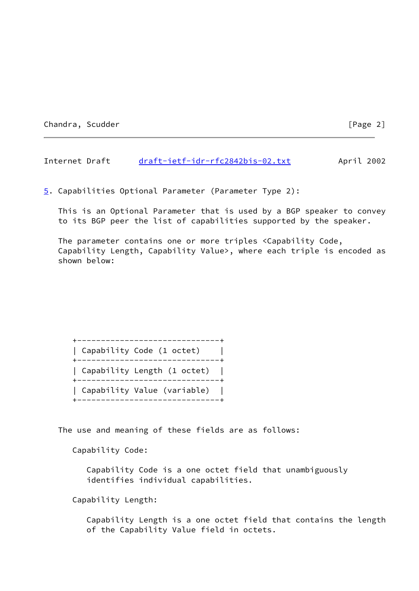Chandra, Scudder [Page 2]

Internet Draft [draft-ietf-idr-rfc2842bis-02.txt](https://datatracker.ietf.org/doc/pdf/draft-ietf-idr-rfc2842bis-02.txt) April 2002

<span id="page-2-0"></span>[5](#page-2-0). Capabilities Optional Parameter (Parameter Type 2):

 This is an Optional Parameter that is used by a BGP speaker to convey to its BGP peer the list of capabilities supported by the speaker.

 The parameter contains one or more triples <Capability Code, Capability Length, Capability Value>, where each triple is encoded as shown below:

| ---------<br>  Capability Code (1 octet)<br>----------------- |  |
|---------------------------------------------------------------|--|
| Capability Length (1 octet)<br>-----------                    |  |
| Capability Value (variable)                                   |  |

The use and meaning of these fields are as follows:

Capability Code:

 Capability Code is a one octet field that unambiguously identifies individual capabilities.

Capability Length:

 Capability Length is a one octet field that contains the length of the Capability Value field in octets.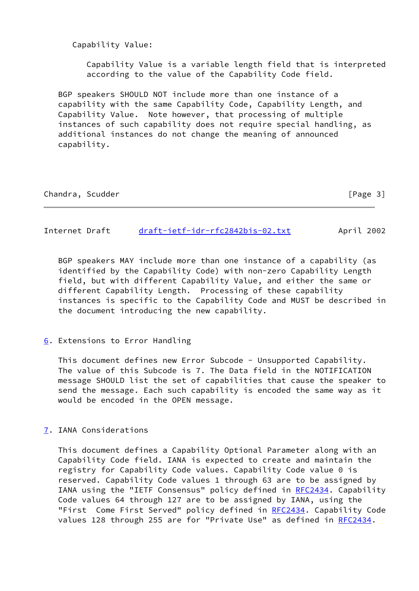Capability Value:

 Capability Value is a variable length field that is interpreted according to the value of the Capability Code field.

 BGP speakers SHOULD NOT include more than one instance of a capability with the same Capability Code, Capability Length, and Capability Value. Note however, that processing of multiple instances of such capability does not require special handling, as additional instances do not change the meaning of announced capability.

| Chandra, | Scudder |
|----------|---------|
|----------|---------|

 $[Page 3]$ 

Internet Draft [draft-ietf-idr-rfc2842bis-02.txt](https://datatracker.ietf.org/doc/pdf/draft-ietf-idr-rfc2842bis-02.txt) April 2002

 BGP speakers MAY include more than one instance of a capability (as identified by the Capability Code) with non-zero Capability Length field, but with different Capability Value, and either the same or different Capability Length. Processing of these capability instances is specific to the Capability Code and MUST be described in the document introducing the new capability.

<span id="page-3-0"></span>[6](#page-3-0). Extensions to Error Handling

This document defines new Error Subcode - Unsupported Capability. The value of this Subcode is 7. The Data field in the NOTIFICATION message SHOULD list the set of capabilities that cause the speaker to send the message. Each such capability is encoded the same way as it would be encoded in the OPEN message.

<span id="page-3-1"></span>[7](#page-3-1). IANA Considerations

 This document defines a Capability Optional Parameter along with an Capability Code field. IANA is expected to create and maintain the registry for Capability Code values. Capability Code value 0 is reserved. Capability Code values 1 through 63 are to be assigned by IANA using the "IETF Consensus" policy defined in [RFC2434](https://datatracker.ietf.org/doc/pdf/rfc2434). Capability Code values 64 through 127 are to be assigned by IANA, using the "First Come First Served" policy defined in [RFC2434](https://datatracker.ietf.org/doc/pdf/rfc2434). Capability Code values 128 through 255 are for "Private Use" as defined in [RFC2434](https://datatracker.ietf.org/doc/pdf/rfc2434).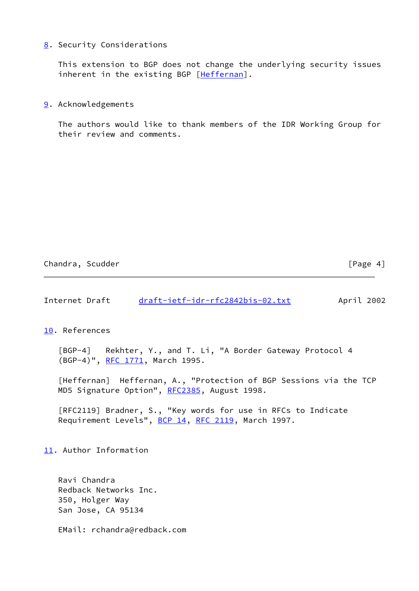### <span id="page-4-1"></span>[8](#page-4-1). Security Considerations

 This extension to BGP does not change the underlying security issues inherent in the existing BGP [\[Heffernan\]](#page-4-2).

#### <span id="page-4-3"></span>[9](#page-4-3). Acknowledgements

 The authors would like to thank members of the IDR Working Group for their review and comments.

Chandra, Scudder [Page 4]

Internet Draft [draft-ietf-idr-rfc2842bis-02.txt](https://datatracker.ietf.org/doc/pdf/draft-ietf-idr-rfc2842bis-02.txt) April 2002

<span id="page-4-4"></span>[10.](#page-4-4) References

<span id="page-4-0"></span> [BGP-4] Rekhter, Y., and T. Li, "A Border Gateway Protocol 4 (BGP-4)", [RFC 1771](https://datatracker.ietf.org/doc/pdf/rfc1771), March 1995.

<span id="page-4-2"></span> [Heffernan] Heffernan, A., "Protection of BGP Sessions via the TCP MD5 Signature Option", [RFC2385](https://datatracker.ietf.org/doc/pdf/rfc2385), August 1998.

 [RFC2119] Bradner, S., "Key words for use in RFCs to Indicate Requirement Levels", [BCP 14](https://datatracker.ietf.org/doc/pdf/bcp14), [RFC 2119](https://datatracker.ietf.org/doc/pdf/rfc2119), March 1997.

<span id="page-4-5"></span>[11.](#page-4-5) Author Information

 Ravi Chandra Redback Networks Inc. 350, Holger Way San Jose, CA 95134

EMail: rchandra@redback.com